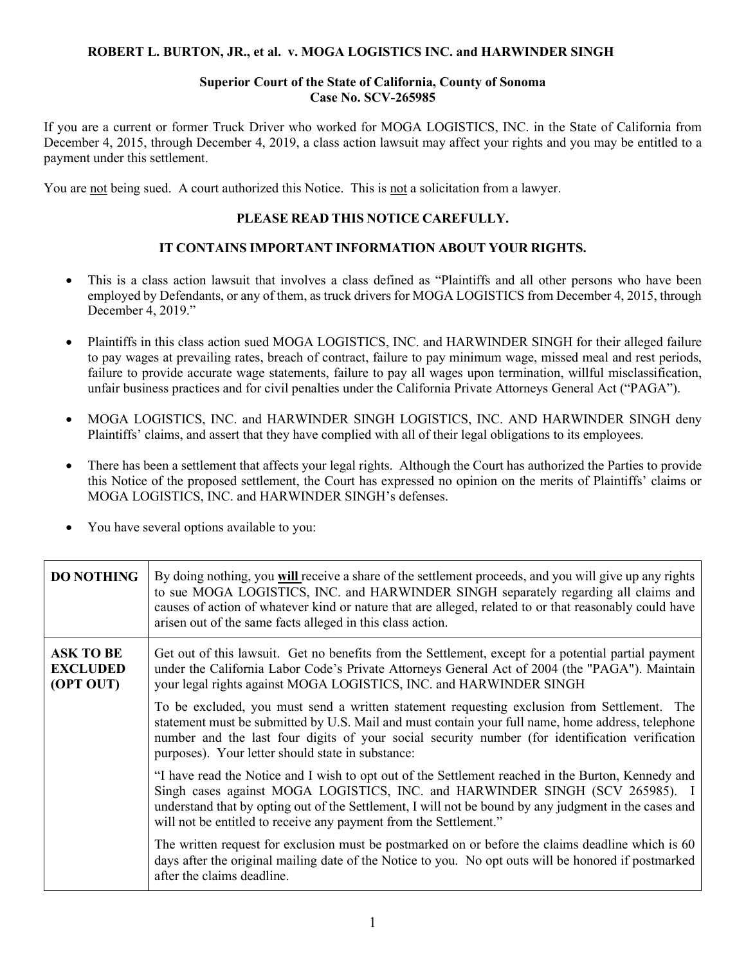### **ROBERT L. BURTON, JR., et al. v. MOGA LOGISTICS INC. and HARWINDER SINGH**

#### **Superior Court of the State of California, County of Sonoma Case No. SCV-265985**

If you are a current or former Truck Driver who worked for MOGA LOGISTICS, INC. in the State of California from December 4, 2015, through December 4, 2019, a class action lawsuit may affect your rights and you may be entitled to a payment under this settlement.

You are not being sued. A court authorized this Notice. This is not a solicitation from a lawyer.

# **PLEASE READ THIS NOTICE CAREFULLY.**

# **IT CONTAINS IMPORTANT INFORMATION ABOUT YOUR RIGHTS.**

- This is a class action lawsuit that involves a class defined as "Plaintiffs and all other persons who have been employed by Defendants, or any of them, as truck drivers for MOGA LOGISTICS from December 4, 2015, through December 4, 2019."
- Plaintiffs in this class action sued MOGA LOGISTICS, INC. and HARWINDER SINGH for their alleged failure to pay wages at prevailing rates, breach of contract, failure to pay minimum wage, missed meal and rest periods, failure to provide accurate wage statements, failure to pay all wages upon termination, willful misclassification, unfair business practices and for civil penalties under the California Private Attorneys General Act ("PAGA").
- MOGA LOGISTICS, INC. and HARWINDER SINGH LOGISTICS, INC. AND HARWINDER SINGH deny Plaintiffs' claims, and assert that they have complied with all of their legal obligations to its employees.
- There has been a settlement that affects your legal rights. Although the Court has authorized the Parties to provide this Notice of the proposed settlement, the Court has expressed no opinion on the merits of Plaintiffs' claims or MOGA LOGISTICS, INC. and HARWINDER SINGH's defenses.
- You have several options available to you:

| <b>DO NOTHING</b>                                | By doing nothing, you will receive a share of the settlement proceeds, and you will give up any rights<br>to sue MOGA LOGISTICS, INC. and HARWINDER SINGH separately regarding all claims and<br>causes of action of whatever kind or nature that are alleged, related to or that reasonably could have<br>arisen out of the same facts alleged in this class action. |
|--------------------------------------------------|-----------------------------------------------------------------------------------------------------------------------------------------------------------------------------------------------------------------------------------------------------------------------------------------------------------------------------------------------------------------------|
| <b>ASK TO BE</b><br><b>EXCLUDED</b><br>(OPT OUT) | Get out of this lawsuit. Get no benefits from the Settlement, except for a potential partial payment<br>under the California Labor Code's Private Attorneys General Act of 2004 (the "PAGA"). Maintain<br>your legal rights against MOGA LOGISTICS, INC. and HARWINDER SINGH                                                                                          |
|                                                  | To be excluded, you must send a written statement requesting exclusion from Settlement. The<br>statement must be submitted by U.S. Mail and must contain your full name, home address, telephone<br>number and the last four digits of your social security number (for identification verification<br>purposes). Your letter should state in substance:              |
|                                                  | "I have read the Notice and I wish to opt out of the Settlement reached in the Burton, Kennedy and<br>Singh cases against MOGA LOGISTICS, INC. and HARWINDER SINGH (SCV 265985). I<br>understand that by opting out of the Settlement, I will not be bound by any judgment in the cases and<br>will not be entitled to receive any payment from the Settlement."      |
|                                                  | The written request for exclusion must be postmarked on or before the claims deadline which is 60<br>days after the original mailing date of the Notice to you. No opt outs will be honored if postmarked<br>after the claims deadline.                                                                                                                               |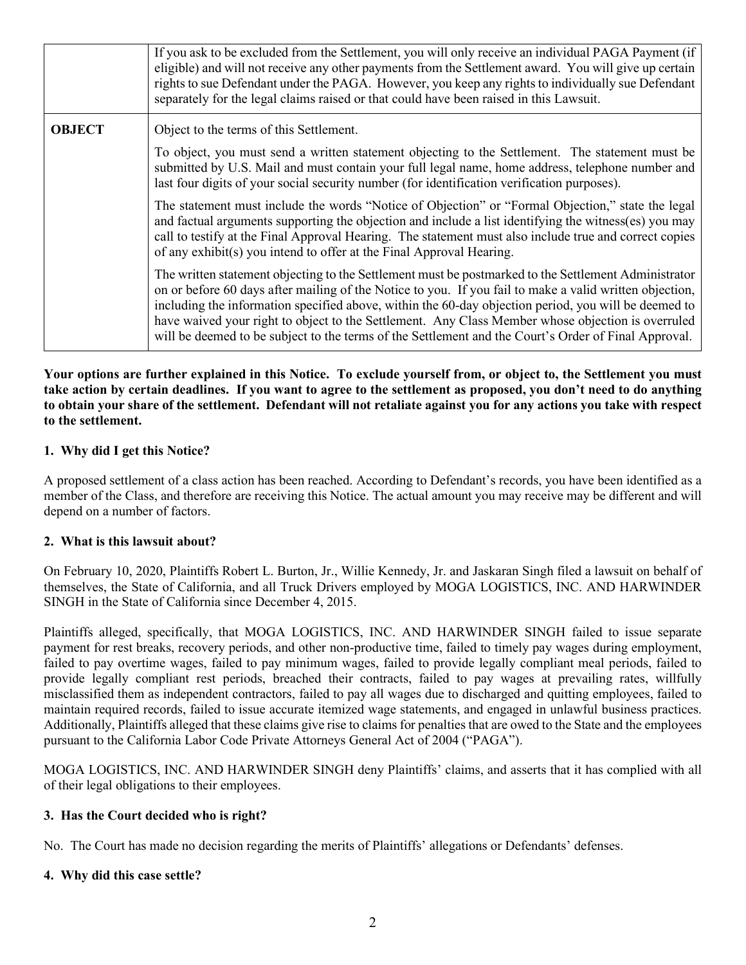|               | If you ask to be excluded from the Settlement, you will only receive an individual PAGA Payment (if<br>eligible) and will not receive any other payments from the Settlement award. You will give up certain<br>rights to sue Defendant under the PAGA. However, you keep any rights to individually sue Defendant<br>separately for the legal claims raised or that could have been raised in this Lawsuit.                                                                                                                         |
|---------------|--------------------------------------------------------------------------------------------------------------------------------------------------------------------------------------------------------------------------------------------------------------------------------------------------------------------------------------------------------------------------------------------------------------------------------------------------------------------------------------------------------------------------------------|
| <b>OBJECT</b> | Object to the terms of this Settlement.                                                                                                                                                                                                                                                                                                                                                                                                                                                                                              |
|               | To object, you must send a written statement objecting to the Settlement. The statement must be<br>submitted by U.S. Mail and must contain your full legal name, home address, telephone number and<br>last four digits of your social security number (for identification verification purposes).                                                                                                                                                                                                                                   |
|               | The statement must include the words "Notice of Objection" or "Formal Objection," state the legal<br>and factual arguments supporting the objection and include a list identifying the witness(es) you may<br>call to testify at the Final Approval Hearing. The statement must also include true and correct copies<br>of any exhibit(s) you intend to offer at the Final Approval Hearing.                                                                                                                                         |
|               | The written statement objecting to the Settlement must be postmarked to the Settlement Administrator<br>on or before 60 days after mailing of the Notice to you. If you fail to make a valid written objection,<br>including the information specified above, within the 60-day objection period, you will be deemed to<br>have waived your right to object to the Settlement. Any Class Member whose objection is overruled<br>will be deemed to be subject to the terms of the Settlement and the Court's Order of Final Approval. |

**Your options are further explained in this Notice. To exclude yourself from, or object to, the Settlement you must take action by certain deadlines. If you want to agree to the settlement as proposed, you don't need to do anything to obtain your share of the settlement. Defendant will not retaliate against you for any actions you take with respect to the settlement.**

### **1. Why did I get this Notice?**

A proposed settlement of a class action has been reached. According to Defendant's records, you have been identified as a member of the Class, and therefore are receiving this Notice. The actual amount you may receive may be different and will depend on a number of factors.

#### **2. What is this lawsuit about?**

On February 10, 2020, Plaintiffs Robert L. Burton, Jr., Willie Kennedy, Jr. and Jaskaran Singh filed a lawsuit on behalf of themselves, the State of California, and all Truck Drivers employed by MOGA LOGISTICS, INC. AND HARWINDER SINGH in the State of California since December 4, 2015.

Plaintiffs alleged, specifically, that MOGA LOGISTICS, INC. AND HARWINDER SINGH failed to issue separate payment for rest breaks, recovery periods, and other non-productive time, failed to timely pay wages during employment, failed to pay overtime wages, failed to pay minimum wages, failed to provide legally compliant meal periods, failed to provide legally compliant rest periods, breached their contracts, failed to pay wages at prevailing rates, willfully misclassified them as independent contractors, failed to pay all wages due to discharged and quitting employees, failed to maintain required records, failed to issue accurate itemized wage statements, and engaged in unlawful business practices. Additionally, Plaintiffs alleged that these claims give rise to claims for penalties that are owed to the State and the employees pursuant to the California Labor Code Private Attorneys General Act of 2004 ("PAGA").

MOGA LOGISTICS, INC. AND HARWINDER SINGH deny Plaintiffs' claims, and asserts that it has complied with all of their legal obligations to their employees.

## **3. Has the Court decided who is right?**

No. The Court has made no decision regarding the merits of Plaintiffs' allegations or Defendants' defenses.

## **4. Why did this case settle?**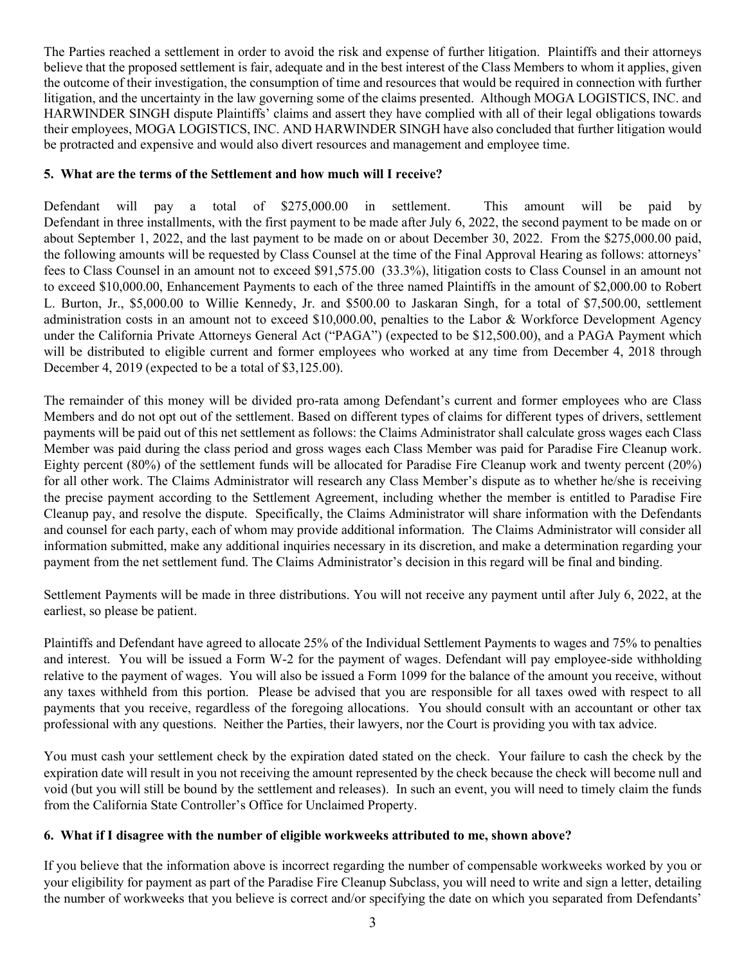The Parties reached a settlement in order to avoid the risk and expense of further litigation. Plaintiffs and their attorneys believe that the proposed settlement is fair, adequate and in the best interest of the Class Members to whom it applies, given the outcome of their investigation, the consumption of time and resources that would be required in connection with further litigation, and the uncertainty in the law governing some of the claims presented. Although MOGA LOGISTICS, INC. and HARWINDER SINGH dispute Plaintiffs' claims and assert they have complied with all of their legal obligations towards their employees, MOGA LOGISTICS, INC. AND HARWINDER SINGH have also concluded that further litigation would be protracted and expensive and would also divert resources and management and employee time.

# **5. What are the terms of the Settlement and how much will I receive?**

Defendant will pay a total of \$275,000.00 in settlement. This amount will be paid by Defendant in three installments, with the first payment to be made after July 6, 2022, the second payment to be made on or about September 1, 2022, and the last payment to be made on or about December 30, 2022. From the \$275,000.00 paid, the following amounts will be requested by Class Counsel at the time of the Final Approval Hearing as follows: attorneys' fees to Class Counsel in an amount not to exceed \$91,575.00 (33.3%), litigation costs to Class Counsel in an amount not to exceed \$10,000.00, Enhancement Payments to each of the three named Plaintiffs in the amount of \$2,000.00 to Robert L. Burton, Jr., \$5,000.00 to Willie Kennedy, Jr. and \$500.00 to Jaskaran Singh, for a total of \$7,500.00, settlement administration costs in an amount not to exceed \$10,000.00, penalties to the Labor & Workforce Development Agency under the California Private Attorneys General Act ("PAGA") (expected to be \$12,500.00), and a PAGA Payment which will be distributed to eligible current and former employees who worked at any time from December 4, 2018 through December 4, 2019 (expected to be a total of \$3,125.00).

The remainder of this money will be divided pro-rata among Defendant's current and former employees who are Class Members and do not opt out of the settlement. Based on different types of claims for different types of drivers, settlement payments will be paid out of this net settlement as follows: the Claims Administrator shall calculate gross wages each Class Member was paid during the class period and gross wages each Class Member was paid for Paradise Fire Cleanup work. Eighty percent (80%) of the settlement funds will be allocated for Paradise Fire Cleanup work and twenty percent (20%) for all other work. The Claims Administrator will research any Class Member's dispute as to whether he/she is receiving the precise payment according to the Settlement Agreement, including whether the member is entitled to Paradise Fire Cleanup pay, and resolve the dispute. Specifically, the Claims Administrator will share information with the Defendants and counsel for each party, each of whom may provide additional information. The Claims Administrator will consider all information submitted, make any additional inquiries necessary in its discretion, and make a determination regarding your payment from the net settlement fund. The Claims Administrator's decision in this regard will be final and binding.

Settlement Payments will be made in three distributions. You will not receive any payment until after July 6, 2022, at the earliest, so please be patient.

Plaintiffs and Defendant have agreed to allocate 25% of the Individual Settlement Payments to wages and 75% to penalties and interest. You will be issued a Form W-2 for the payment of wages. Defendant will pay employee-side withholding relative to the payment of wages. You will also be issued a Form 1099 for the balance of the amount you receive, without any taxes withheld from this portion. Please be advised that you are responsible for all taxes owed with respect to all payments that you receive, regardless of the foregoing allocations. You should consult with an accountant or other tax professional with any questions. Neither the Parties, their lawyers, nor the Court is providing you with tax advice.

You must cash your settlement check by the expiration dated stated on the check. Your failure to cash the check by the expiration date will result in you not receiving the amount represented by the check because the check will become null and void (but you will still be bound by the settlement and releases). In such an event, you will need to timely claim the funds from the California State Controller's Office for Unclaimed Property.

## **6. What if I disagree with the number of eligible workweeks attributed to me, shown above?**

If you believe that the information above is incorrect regarding the number of compensable workweeks worked by you or your eligibility for payment as part of the Paradise Fire Cleanup Subclass, you will need to write and sign a letter, detailing the number of workweeks that you believe is correct and/or specifying the date on which you separated from Defendants'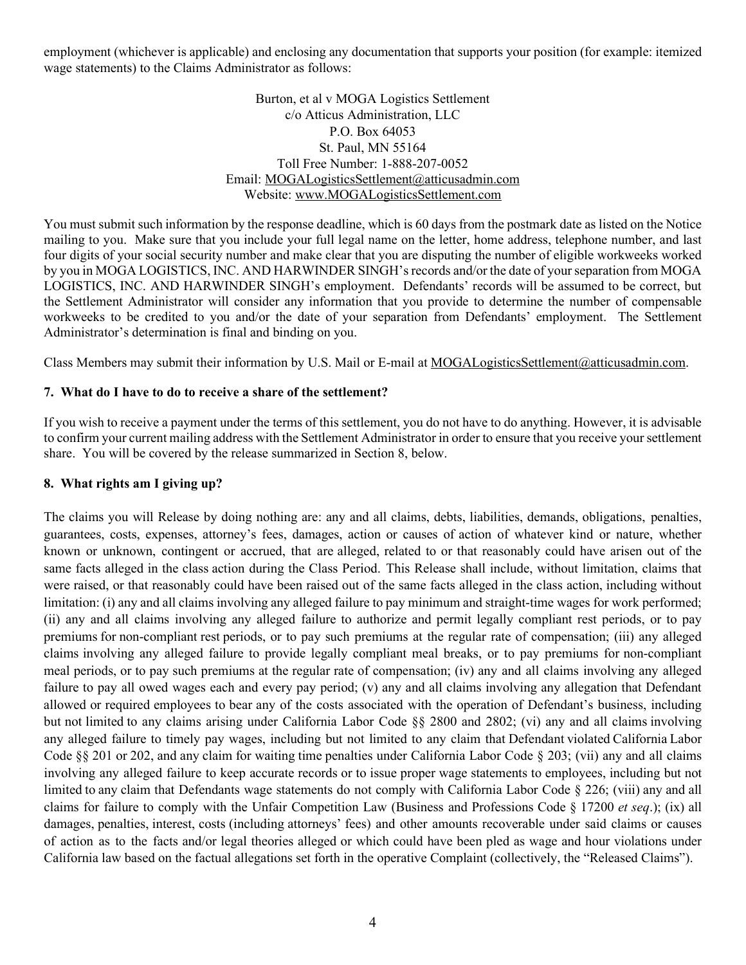employment (whichever is applicable) and enclosing any documentation that supports your position (for example: itemized wage statements) to the Claims Administrator as follows:

> Burton, et al v MOGA Logistics Settlement c/o Atticus Administration, LLC P.O. Box 64053 St. Paul, MN 55164 Toll Free Number: 1-888-207-0052 Email: MOGALogisticsSettlement@atticusadmin.com Website: www.MOGALogisticsSettlement.com

You must submit such information by the response deadline, which is 60 days from the postmark date as listed on the Notice mailing to you. Make sure that you include your full legal name on the letter, home address, telephone number, and last four digits of your social security number and make clear that you are disputing the number of eligible workweeks worked by you in MOGA LOGISTICS, INC. AND HARWINDER SINGH's records and/or the date of your separation from MOGA LOGISTICS, INC. AND HARWINDER SINGH's employment. Defendants' records will be assumed to be correct, but the Settlement Administrator will consider any information that you provide to determine the number of compensable workweeks to be credited to you and/or the date of your separation from Defendants' employment. The Settlement Administrator's determination is final and binding on you.

Class Members may submit their information by U.S. Mail or E-mail at MOGALogisticsSettlement@atticusadmin.com.

## **7. What do I have to do to receive a share of the settlement?**

If you wish to receive a payment under the terms of this settlement, you do not have to do anything. However, it is advisable to confirm your current mailing address with the Settlement Administrator in order to ensure that you receive your settlement share. You will be covered by the release summarized in Section 8, below.

#### **8. What rights am I giving up?**

The claims you will Release by doing nothing are: any and all claims, debts, liabilities, demands, obligations, penalties, guarantees, costs, expenses, attorney's fees, damages, action or causes of action of whatever kind or nature, whether known or unknown, contingent or accrued, that are alleged, related to or that reasonably could have arisen out of the same facts alleged in the class action during the Class Period. This Release shall include, without limitation, claims that were raised, or that reasonably could have been raised out of the same facts alleged in the class action, including without limitation: (i) any and all claims involving any alleged failure to pay minimum and straight-time wages for work performed; (ii) any and all claims involving any alleged failure to authorize and permit legally compliant rest periods, or to pay premiums for non-compliant rest periods, or to pay such premiums at the regular rate of compensation; (iii) any alleged claims involving any alleged failure to provide legally compliant meal breaks, or to pay premiums for non-compliant meal periods, or to pay such premiums at the regular rate of compensation; (iv) any and all claims involving any alleged failure to pay all owed wages each and every pay period; (v) any and all claims involving any allegation that Defendant allowed or required employees to bear any of the costs associated with the operation of Defendant's business, including but not limited to any claims arising under California Labor Code §§ 2800 and 2802; (vi) any and all claims involving any alleged failure to timely pay wages, including but not limited to any claim that Defendant violated California Labor Code §§ 201 or 202, and any claim for waiting time penalties under California Labor Code § 203; (vii) any and all claims involving any alleged failure to keep accurate records or to issue proper wage statements to employees, including but not limited to any claim that Defendants wage statements do not comply with California Labor Code § 226; (viii) any and all claims for failure to comply with the Unfair Competition Law (Business and Professions Code § 17200 *et seq*.); (ix) all damages, penalties, interest, costs (including attorneys' fees) and other amounts recoverable under said claims or causes of action as to the facts and/or legal theories alleged or which could have been pled as wage and hour violations under California law based on the factual allegations set forth in the operative Complaint (collectively, the "Released Claims").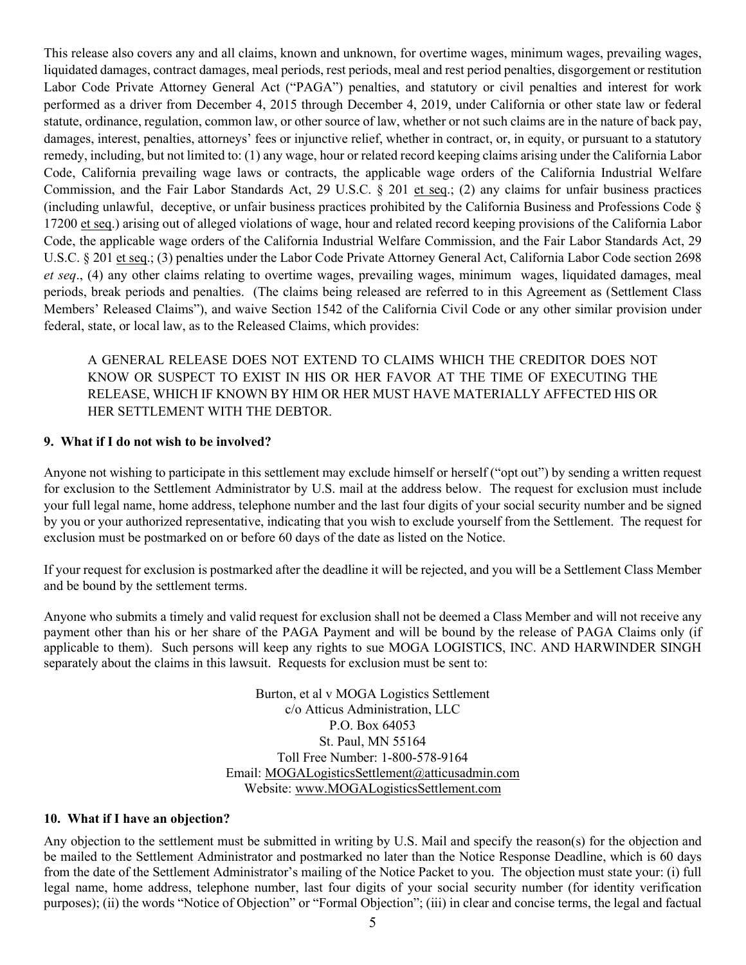This release also covers any and all claims, known and unknown, for overtime wages, minimum wages, prevailing wages, liquidated damages, contract damages, meal periods, rest periods, meal and rest period penalties, disgorgement or restitution Labor Code Private Attorney General Act ("PAGA") penalties, and statutory or civil penalties and interest for work performed as a driver from December 4, 2015 through December 4, 2019, under California or other state law or federal statute, ordinance, regulation, common law, or other source of law, whether or not such claims are in the nature of back pay, damages, interest, penalties, attorneys' fees or injunctive relief, whether in contract, or, in equity, or pursuant to a statutory remedy, including, but not limited to: (1) any wage, hour or related record keeping claims arising under the California Labor Code, California prevailing wage laws or contracts, the applicable wage orders of the California Industrial Welfare Commission, and the Fair Labor Standards Act, 29 U.S.C. § 201 et seq.; (2) any claims for unfair business practices (including unlawful, deceptive, or unfair business practices prohibited by the California Business and Professions Code § 17200 et seq.) arising out of alleged violations of wage, hour and related record keeping provisions of the California Labor Code, the applicable wage orders of the California Industrial Welfare Commission, and the Fair Labor Standards Act, 29 U.S.C. § 201 et seq.; (3) penalties under the Labor Code Private Attorney General Act, California Labor Code section 2698 *et seq*., (4) any other claims relating to overtime wages, prevailing wages, minimum wages, liquidated damages, meal periods, break periods and penalties. (The claims being released are referred to in this Agreement as (Settlement Class Members' Released Claims"), and waive Section 1542 of the California Civil Code or any other similar provision under federal, state, or local law, as to the Released Claims, which provides:

A GENERAL RELEASE DOES NOT EXTEND TO CLAIMS WHICH THE CREDITOR DOES NOT KNOW OR SUSPECT TO EXIST IN HIS OR HER FAVOR AT THE TIME OF EXECUTING THE RELEASE, WHICH IF KNOWN BY HIM OR HER MUST HAVE MATERIALLY AFFECTED HIS OR HER SETTLEMENT WITH THE DEBTOR.

#### **9. What if I do not wish to be involved?**

Anyone not wishing to participate in this settlement may exclude himself or herself ("opt out") by sending a written request for exclusion to the Settlement Administrator by U.S. mail at the address below. The request for exclusion must include your full legal name, home address, telephone number and the last four digits of your social security number and be signed by you or your authorized representative, indicating that you wish to exclude yourself from the Settlement. The request for exclusion must be postmarked on or before 60 days of the date as listed on the Notice.

If your request for exclusion is postmarked after the deadline it will be rejected, and you will be a Settlement Class Member and be bound by the settlement terms.

Anyone who submits a timely and valid request for exclusion shall not be deemed a Class Member and will not receive any payment other than his or her share of the PAGA Payment and will be bound by the release of PAGA Claims only (if applicable to them). Such persons will keep any rights to sue MOGA LOGISTICS, INC. AND HARWINDER SINGH separately about the claims in this lawsuit. Requests for exclusion must be sent to:

> Burton, et al v MOGA Logistics Settlement c/o Atticus Administration, LLC P.O. Box 64053 St. Paul, MN 55164 Toll Free Number: 1-800-578-9164 Email: MOGALogisticsSettlement@atticusadmin.com Website: www.MOGALogisticsSettlement.com

#### **10. What if I have an objection?**

Any objection to the settlement must be submitted in writing by U.S. Mail and specify the reason(s) for the objection and be mailed to the Settlement Administrator and postmarked no later than the Notice Response Deadline, which is 60 days from the date of the Settlement Administrator's mailing of the Notice Packet to you. The objection must state your: (i) full legal name, home address, telephone number, last four digits of your social security number (for identity verification purposes); (ii) the words "Notice of Objection" or "Formal Objection"; (iii) in clear and concise terms, the legal and factual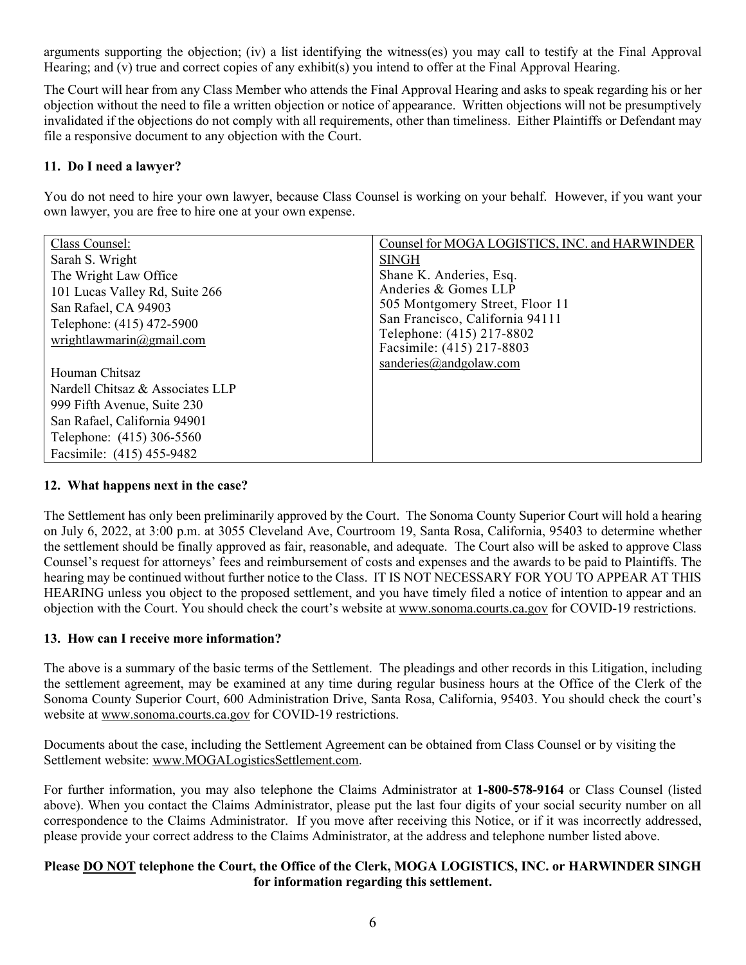arguments supporting the objection; (iv) a list identifying the witness(es) you may call to testify at the Final Approval Hearing; and (v) true and correct copies of any exhibit(s) you intend to offer at the Final Approval Hearing.

The Court will hear from any Class Member who attends the Final Approval Hearing and asks to speak regarding his or her objection without the need to file a written objection or notice of appearance. Written objections will not be presumptively invalidated if the objections do not comply with all requirements, other than timeliness. Either Plaintiffs or Defendant may file a responsive document to any objection with the Court.

# **11. Do I need a lawyer?**

You do not need to hire your own lawyer, because Class Counsel is working on your behalf. However, if you want your own lawyer, you are free to hire one at your own expense.

| Class Counsel:                   | Counsel for MOGA LOGISTICS, INC. and HARWINDER |
|----------------------------------|------------------------------------------------|
| Sarah S. Wright                  | <b>SINGH</b>                                   |
| The Wright Law Office            | Shane K. Anderies, Esq.                        |
| 101 Lucas Valley Rd, Suite 266   | Anderies & Gomes LLP                           |
| San Rafael, CA 94903             | 505 Montgomery Street, Floor 11                |
| Telephone: (415) 472-5900        | San Francisco, California 94111                |
| wrightlawmarin@gmail.com         | Telephone: (415) 217-8802                      |
|                                  | Facsimile: (415) 217-8803                      |
| Houman Chitsaz                   | sanderies $(a)$ and golaw.com                  |
| Nardell Chitsaz & Associates LLP |                                                |
| 999 Fifth Avenue, Suite 230      |                                                |
| San Rafael, California 94901     |                                                |
| Telephone: (415) 306-5560        |                                                |
| Facsimile: (415) 455-9482        |                                                |

## **12. What happens next in the case?**

The Settlement has only been preliminarily approved by the Court. The Sonoma County Superior Court will hold a hearing on July 6, 2022, at 3:00 p.m. at 3055 Cleveland Ave, Courtroom 19, Santa Rosa, California, 95403 to determine whether the settlement should be finally approved as fair, reasonable, and adequate. The Court also will be asked to approve Class Counsel's request for attorneys' fees and reimbursement of costs and expenses and the awards to be paid to Plaintiffs. The hearing may be continued without further notice to the Class. IT IS NOT NECESSARY FOR YOU TO APPEAR AT THIS HEARING unless you object to the proposed settlement, and you have timely filed a notice of intention to appear and an objection with the Court. You should check the court's website at www.sonoma.courts.ca.gov for COVID-19 restrictions.

## **13. How can I receive more information?**

The above is a summary of the basic terms of the Settlement. The pleadings and other records in this Litigation, including the settlement agreement, may be examined at any time during regular business hours at the Office of the Clerk of the Sonoma County Superior Court, 600 Administration Drive, Santa Rosa, California, 95403. You should check the court's website at www.sonoma.courts.ca.gov for COVID-19 restrictions.

Documents about the case, including the Settlement Agreement can be obtained from Class Counsel or by visiting the Settlement website: www.MOGALogisticsSettlement.com.

For further information, you may also telephone the Claims Administrator at **1-800-578-9164** or Class Counsel (listed above). When you contact the Claims Administrator, please put the last four digits of your social security number on all correspondence to the Claims Administrator. If you move after receiving this Notice, or if it was incorrectly addressed, please provide your correct address to the Claims Administrator, at the address and telephone number listed above.

## **Please DO NOT telephone the Court, the Office of the Clerk, MOGA LOGISTICS, INC. or HARWINDER SINGH for information regarding this settlement.**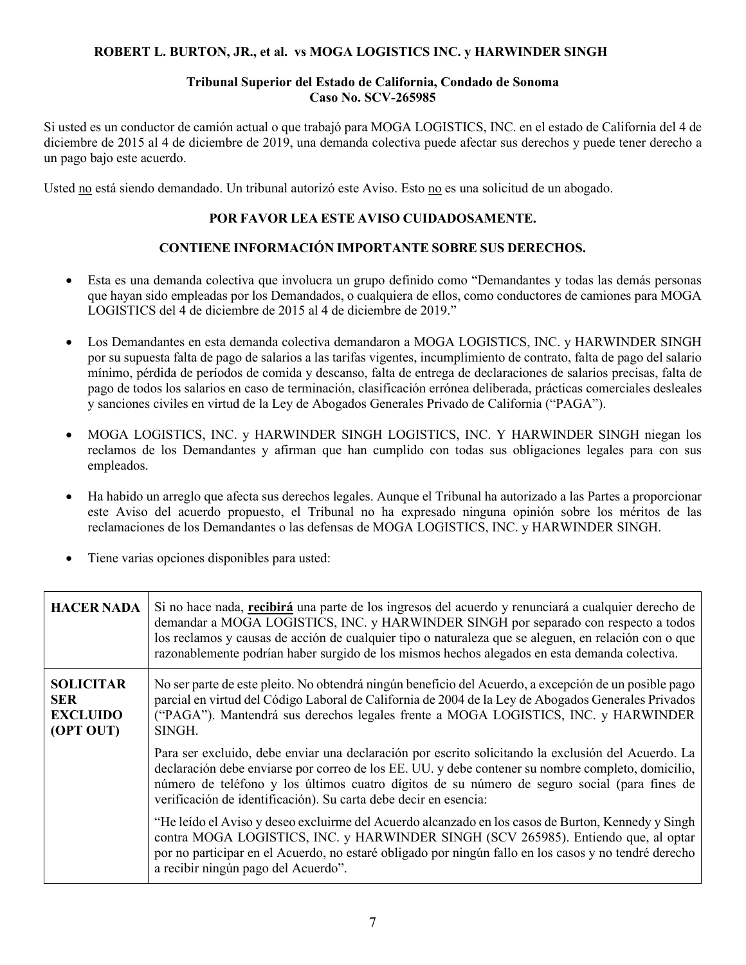### **ROBERT L. BURTON, JR., et al. vs MOGA LOGISTICS INC. y HARWINDER SINGH**

#### **Tribunal Superior del Estado de California, Condado de Sonoma Caso No. SCV-265985**

Si usted es un conductor de camión actual o que trabajó para MOGA LOGISTICS, INC. en el estado de California del 4 de diciembre de 2015 al 4 de diciembre de 2019, una demanda colectiva puede afectar sus derechos y puede tener derecho a un pago bajo este acuerdo.

Usted no está siendo demandado. Un tribunal autorizó este Aviso. Esto no es una solicitud de un abogado.

# **POR FAVOR LEA ESTE AVISO CUIDADOSAMENTE.**

# **CONTIENE INFORMACIÓN IMPORTANTE SOBRE SUS DERECHOS.**

- Esta es una demanda colectiva que involucra un grupo definido como "Demandantes y todas las demás personas que hayan sido empleadas por los Demandados, o cualquiera de ellos, como conductores de camiones para MOGA LOGISTICS del 4 de diciembre de 2015 al 4 de diciembre de 2019."
- Los Demandantes en esta demanda colectiva demandaron a MOGA LOGISTICS, INC. y HARWINDER SINGH por su supuesta falta de pago de salarios a las tarifas vigentes, incumplimiento de contrato, falta de pago del salario mínimo, pérdida de períodos de comida y descanso, falta de entrega de declaraciones de salarios precisas, falta de pago de todos los salarios en caso de terminación, clasificación errónea deliberada, prácticas comerciales desleales y sanciones civiles en virtud de la Ley de Abogados Generales Privado de California ("PAGA").
- MOGA LOGISTICS, INC. y HARWINDER SINGH LOGISTICS, INC. Y HARWINDER SINGH niegan los reclamos de los Demandantes y afirman que han cumplido con todas sus obligaciones legales para con sus empleados.
- Ha habido un arreglo que afecta sus derechos legales. Aunque el Tribunal ha autorizado a las Partes a proporcionar este Aviso del acuerdo propuesto, el Tribunal no ha expresado ninguna opinión sobre los méritos de las reclamaciones de los Demandantes o las defensas de MOGA LOGISTICS, INC. y HARWINDER SINGH.
- Tiene varias opciones disponibles para usted:

| <b>HACER NADA</b>                                              | Si no hace nada, recibirá una parte de los ingresos del acuerdo y renunciará a cualquier derecho de<br>demandar a MOGA LOGISTICS, INC. y HARWINDER SINGH por separado con respecto a todos<br>los reclamos y causas de acción de cualquier tipo o naturaleza que se aleguen, en relación con o que<br>razonablemente podrían haber surgido de los mismos hechos alegados en esta demanda colectiva. |
|----------------------------------------------------------------|-----------------------------------------------------------------------------------------------------------------------------------------------------------------------------------------------------------------------------------------------------------------------------------------------------------------------------------------------------------------------------------------------------|
| <b>SOLICITAR</b><br><b>SER</b><br><b>EXCLUIDO</b><br>(OPT OUT) | No ser parte de este pleito. No obtendrá ningún beneficio del Acuerdo, a excepción de un posible pago<br>parcial en virtud del Código Laboral de California de 2004 de la Ley de Abogados Generales Privados<br>("PAGA"). Mantendrá sus derechos legales frente a MOGA LOGISTICS, INC. y HARWINDER<br>SINGH.                                                                                        |
|                                                                | Para ser excluido, debe enviar una declaración por escrito solicitando la exclusión del Acuerdo. La<br>declaración debe enviarse por correo de los EE. UU. y debe contener su nombre completo, domicilio,<br>número de teléfono y los últimos cuatro dígitos de su número de seguro social (para fines de<br>verificación de identificación). Su carta debe decir en esencia:                       |
|                                                                | "He leído el Aviso y deseo excluirme del Acuerdo alcanzado en los casos de Burton, Kennedy y Singh<br>contra MOGA LOGISTICS, INC. y HARWINDER SINGH (SCV 265985). Entiendo que, al optar<br>por no participar en el Acuerdo, no estaré obligado por ningún fallo en los casos y no tendré derecho<br>a recibir ningún pago del Acuerdo".                                                            |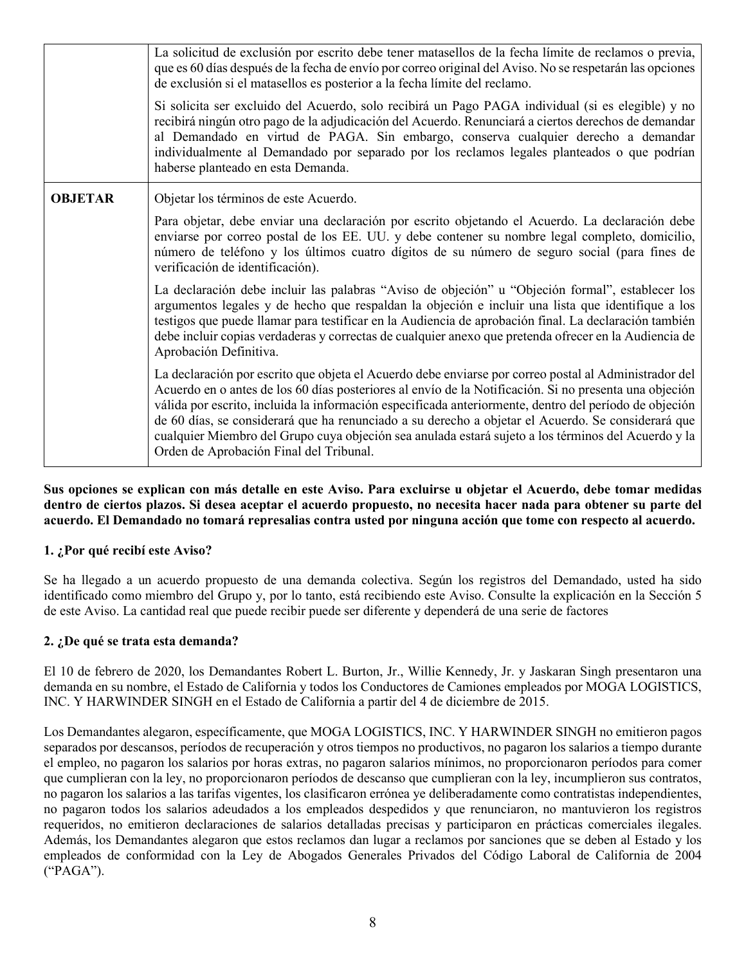|                | La solicitud de exclusión por escrito debe tener matasellos de la fecha límite de reclamos o previa,<br>que es 60 días después de la fecha de envío por correo original del Aviso. No se respetarán las opciones<br>de exclusión si el matasellos es posterior a la fecha límite del reclamo.                                                                                                                                                                                                                                                                                     |
|----------------|-----------------------------------------------------------------------------------------------------------------------------------------------------------------------------------------------------------------------------------------------------------------------------------------------------------------------------------------------------------------------------------------------------------------------------------------------------------------------------------------------------------------------------------------------------------------------------------|
|                | Si solicita ser excluido del Acuerdo, solo recibirá un Pago PAGA individual (si es elegible) y no<br>recibirá ningún otro pago de la adjudicación del Acuerdo. Renunciará a ciertos derechos de demandar<br>al Demandado en virtud de PAGA. Sin embargo, conserva cualquier derecho a demandar<br>individualmente al Demandado por separado por los reclamos legales planteados o que podrían<br>haberse planteado en esta Demanda.                                                                                                                                               |
| <b>OBJETAR</b> | Objetar los términos de este Acuerdo.                                                                                                                                                                                                                                                                                                                                                                                                                                                                                                                                             |
|                | Para objetar, debe enviar una declaración por escrito objetando el Acuerdo. La declaración debe<br>enviarse por correo postal de los EE. UU. y debe contener su nombre legal completo, domicilio,<br>número de teléfono y los últimos cuatro dígitos de su número de seguro social (para fines de<br>verificación de identificación).                                                                                                                                                                                                                                             |
|                | La declaración debe incluir las palabras "Aviso de objeción" u "Objeción formal", establecer los<br>argumentos legales y de hecho que respaldan la objeción e incluir una lista que identifique a los<br>testigos que puede llamar para testificar en la Audiencia de aprobación final. La declaración también<br>debe incluir copias verdaderas y correctas de cualquier anexo que pretenda ofrecer en la Audiencia de<br>Aprobación Definitiva.                                                                                                                                 |
|                | La declaración por escrito que objeta el Acuerdo debe enviarse por correo postal al Administrador del<br>Acuerdo en o antes de los 60 días posteriores al envío de la Notificación. Si no presenta una objeción<br>válida por escrito, incluida la información especificada anteriormente, dentro del período de objeción<br>de 60 días, se considerará que ha renunciado a su derecho a objetar el Acuerdo. Se considerará que<br>cualquier Miembro del Grupo cuya objeción sea anulada estará sujeto a los términos del Acuerdo y la<br>Orden de Aprobación Final del Tribunal. |

**Sus opciones se explican con más detalle en este Aviso. Para excluirse u objetar el Acuerdo, debe tomar medidas dentro de ciertos plazos. Si desea aceptar el acuerdo propuesto, no necesita hacer nada para obtener su parte del acuerdo. El Demandado no tomará represalias contra usted por ninguna acción que tome con respecto al acuerdo.**

## **1. ¿Por qué recibí este Aviso?**

Se ha llegado a un acuerdo propuesto de una demanda colectiva. Según los registros del Demandado, usted ha sido identificado como miembro del Grupo y, por lo tanto, está recibiendo este Aviso. Consulte la explicación en la Sección 5 de este Aviso. La cantidad real que puede recibir puede ser diferente y dependerá de una serie de factores

## **2. ¿De qué se trata esta demanda?**

El 10 de febrero de 2020, los Demandantes Robert L. Burton, Jr., Willie Kennedy, Jr. y Jaskaran Singh presentaron una demanda en su nombre, el Estado de California y todos los Conductores de Camiones empleados por MOGA LOGISTICS, INC. Y HARWINDER SINGH en el Estado de California a partir del 4 de diciembre de 2015.

Los Demandantes alegaron, específicamente, que MOGA LOGISTICS, INC. Y HARWINDER SINGH no emitieron pagos separados por descansos, períodos de recuperación y otros tiempos no productivos, no pagaron los salarios a tiempo durante el empleo, no pagaron los salarios por horas extras, no pagaron salarios mínimos, no proporcionaron períodos para comer que cumplieran con la ley, no proporcionaron períodos de descanso que cumplieran con la ley, incumplieron sus contratos, no pagaron los salarios a las tarifas vigentes, los clasificaron errónea ye deliberadamente como contratistas independientes, no pagaron todos los salarios adeudados a los empleados despedidos y que renunciaron, no mantuvieron los registros requeridos, no emitieron declaraciones de salarios detalladas precisas y participaron en prácticas comerciales ilegales. Además, los Demandantes alegaron que estos reclamos dan lugar a reclamos por sanciones que se deben al Estado y los empleados de conformidad con la Ley de Abogados Generales Privados del Código Laboral de California de 2004 ("PAGA").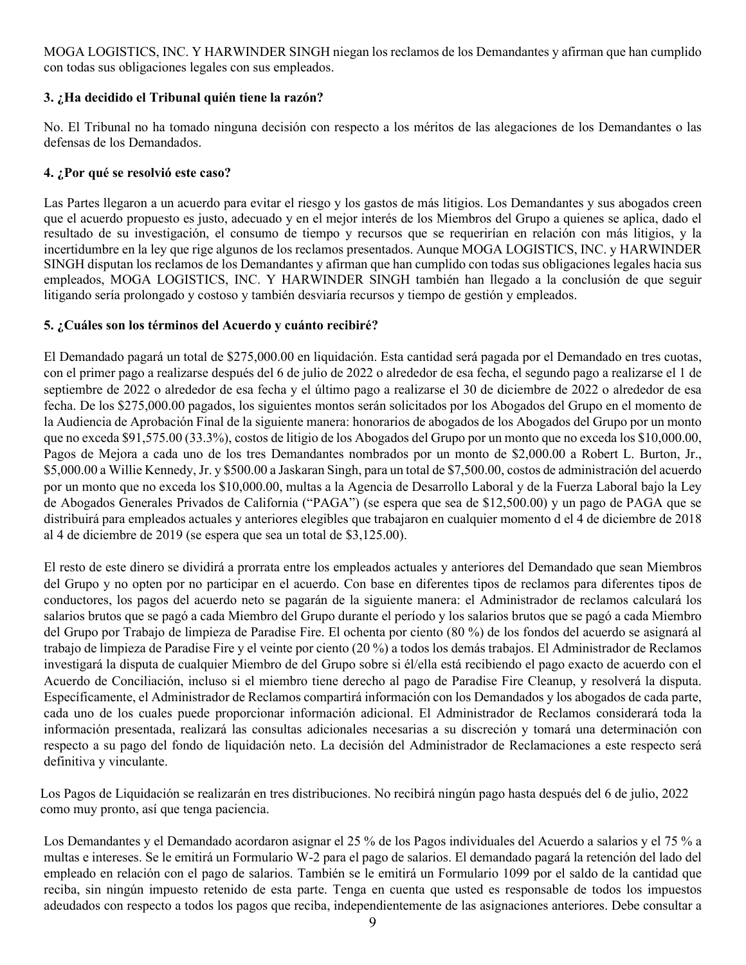MOGA LOGISTICS, INC. Y HARWINDER SINGH niegan los reclamos de los Demandantes y afirman que han cumplido con todas sus obligaciones legales con sus empleados.

# **3. ¿Ha decidido el Tribunal quién tiene la razón?**

No. El Tribunal no ha tomado ninguna decisión con respecto a los méritos de las alegaciones de los Demandantes o las defensas de los Demandados.

### **4. ¿Por qué se resolvió este caso?**

Las Partes llegaron a un acuerdo para evitar el riesgo y los gastos de más litigios. Los Demandantes y sus abogados creen que el acuerdo propuesto es justo, adecuado y en el mejor interés de los Miembros del Grupo a quienes se aplica, dado el resultado de su investigación, el consumo de tiempo y recursos que se requerirían en relación con más litigios, y la incertidumbre en la ley que rige algunos de los reclamos presentados. Aunque MOGA LOGISTICS, INC. y HARWINDER SINGH disputan los reclamos de los Demandantes y afirman que han cumplido con todas sus obligaciones legales hacia sus empleados, MOGA LOGISTICS, INC. Y HARWINDER SINGH también han llegado a la conclusión de que seguir litigando sería prolongado y costoso y también desviaría recursos y tiempo de gestión y empleados.

### **5. ¿Cuáles son los términos del Acuerdo y cuánto recibiré?**

El Demandado pagará un total de \$275,000.00 en liquidación. Esta cantidad será pagada por el Demandado en tres cuotas, con el primer pago a realizarse después del 6 de julio de 2022 o alrededor de esa fecha, el segundo pago a realizarse el 1 de septiembre de 2022 o alrededor de esa fecha y el último pago a realizarse el 30 de diciembre de 2022 o alrededor de esa fecha. De los \$275,000.00 pagados, los siguientes montos serán solicitados por los Abogados del Grupo en el momento de la Audiencia de Aprobación Final de la siguiente manera: honorarios de abogados de los Abogados del Grupo por un monto que no exceda \$91,575.00 (33.3%), costos de litigio de los Abogados del Grupo por un monto que no exceda los \$10,000.00, Pagos de Mejora a cada uno de los tres Demandantes nombrados por un monto de \$2,000.00 a Robert L. Burton, Jr., \$5,000.00 a Willie Kennedy, Jr. y \$500.00 a Jaskaran Singh, para un total de \$7,500.00, costos de administración del acuerdo por un monto que no exceda los \$10,000.00, multas a la Agencia de Desarrollo Laboral y de la Fuerza Laboral bajo la Ley de Abogados Generales Privados de California ("PAGA") (se espera que sea de \$12,500.00) y un pago de PAGA que se distribuirá para empleados actuales y anteriores elegibles que trabajaron en cualquier momento d el 4 de diciembre de 2018 al 4 de diciembre de 2019 (se espera que sea un total de \$3,125.00).

El resto de este dinero se dividirá a prorrata entre los empleados actuales y anteriores del Demandado que sean Miembros del Grupo y no opten por no participar en el acuerdo. Con base en diferentes tipos de reclamos para diferentes tipos de conductores, los pagos del acuerdo neto se pagarán de la siguiente manera: el Administrador de reclamos calculará los salarios brutos que se pagó a cada Miembro del Grupo durante el período y los salarios brutos que se pagó a cada Miembro del Grupo por Trabajo de limpieza de Paradise Fire. El ochenta por ciento (80 %) de los fondos del acuerdo se asignará al trabajo de limpieza de Paradise Fire y el veinte por ciento (20 %) a todos los demás trabajos. El Administrador de Reclamos investigará la disputa de cualquier Miembro de del Grupo sobre si él/ella está recibiendo el pago exacto de acuerdo con el Acuerdo de Conciliación, incluso si el miembro tiene derecho al pago de Paradise Fire Cleanup, y resolverá la disputa. Específicamente, el Administrador de Reclamos compartirá información con los Demandados y los abogados de cada parte, cada uno de los cuales puede proporcionar información adicional. El Administrador de Reclamos considerará toda la información presentada, realizará las consultas adicionales necesarias a su discreción y tomará una determinación con respecto a su pago del fondo de liquidación neto. La decisión del Administrador de Reclamaciones a este respecto será definitiva y vinculante.

 Los Pagos de Liquidación se realizarán en tres distribuciones. No recibirá ningún pago hasta después del 6 de julio, 2022 como muy pronto, así que tenga paciencia.

Los Demandantes y el Demandado acordaron asignar el 25 % de los Pagos individuales del Acuerdo a salarios y el 75 % a multas e intereses. Se le emitirá un Formulario W-2 para el pago de salarios. El demandado pagará la retención del lado del empleado en relación con el pago de salarios. También se le emitirá un Formulario 1099 por el saldo de la cantidad que reciba, sin ningún impuesto retenido de esta parte. Tenga en cuenta que usted es responsable de todos los impuestos adeudados con respecto a todos los pagos que reciba, independientemente de las asignaciones anteriores. Debe consultar a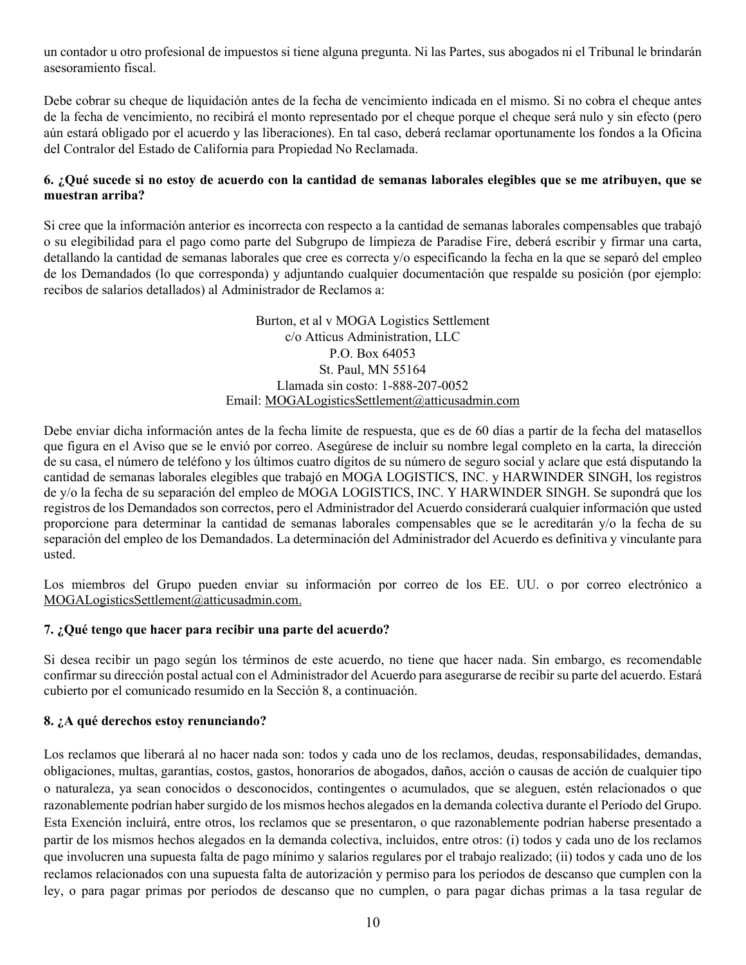un contador u otro profesional de impuestos si tiene alguna pregunta. Ni las Partes, sus abogados ni el Tribunal le brindarán asesoramiento fiscal.

Debe cobrar su cheque de liquidación antes de la fecha de vencimiento indicada en el mismo. Si no cobra el cheque antes de la fecha de vencimiento, no recibirá el monto representado por el cheque porque el cheque será nulo y sin efecto (pero aún estará obligado por el acuerdo y las liberaciones). En tal caso, deberá reclamar oportunamente los fondos a la Oficina del Contralor del Estado de California para Propiedad No Reclamada.

### **6. ¿Qué sucede si no estoy de acuerdo con la cantidad de semanas laborales elegibles que se me atribuyen, que se muestran arriba?**

Si cree que la información anterior es incorrecta con respecto a la cantidad de semanas laborales compensables que trabajó o su elegibilidad para el pago como parte del Subgrupo de limpieza de Paradise Fire, deberá escribir y firmar una carta, detallando la cantidad de semanas laborales que cree es correcta y/o especificando la fecha en la que se separó del empleo de los Demandados (lo que corresponda) y adjuntando cualquier documentación que respalde su posición (por ejemplo: recibos de salarios detallados) al Administrador de Reclamos a:

> Burton, et al v MOGA Logistics Settlement c/o Atticus Administration, LLC P.O. Box 64053 St. Paul, MN 55164 Llamada sin costo: 1-888-207-0052 Email: MOGALogisticsSettlement@atticusadmin.com

Debe enviar dicha información antes de la fecha límite de respuesta, que es de 60 días a partir de la fecha del matasellos que figura en el Aviso que se le envió por correo. Asegúrese de incluir su nombre legal completo en la carta, la dirección de su casa, el número de teléfono y los últimos cuatro dígitos de su número de seguro social y aclare que está disputando la cantidad de semanas laborales elegibles que trabajó en MOGA LOGISTICS, INC. y HARWINDER SINGH, los registros de y/o la fecha de su separación del empleo de MOGA LOGISTICS, INC. Y HARWINDER SINGH. Se supondrá que los registros de los Demandados son correctos, pero el Administrador del Acuerdo considerará cualquier información que usted proporcione para determinar la cantidad de semanas laborales compensables que se le acreditarán y/o la fecha de su separación del empleo de los Demandados. La determinación del Administrador del Acuerdo es definitiva y vinculante para usted.

Los miembros del Grupo pueden enviar su información por correo de los EE. UU. o por correo electrónico a MOGALogisticsSettlement@atticusadmin.com.

## **7. ¿Qué tengo que hacer para recibir una parte del acuerdo?**

Si desea recibir un pago según los términos de este acuerdo, no tiene que hacer nada. Sin embargo, es recomendable confirmar su dirección postal actual con el Administrador del Acuerdo para asegurarse de recibir su parte del acuerdo. Estará cubierto por el comunicado resumido en la Sección 8, a continuación.

#### **8. ¿A qué derechos estoy renunciando?**

Los reclamos que liberará al no hacer nada son: todos y cada uno de los reclamos, deudas, responsabilidades, demandas, obligaciones, multas, garantías, costos, gastos, honorarios de abogados, daños, acción o causas de acción de cualquier tipo o naturaleza, ya sean conocidos o desconocidos, contingentes o acumulados, que se aleguen, estén relacionados o que razonablemente podrían haber surgido de los mismos hechos alegados en la demanda colectiva durante el Período del Grupo. Esta Exención incluirá, entre otros, los reclamos que se presentaron, o que razonablemente podrían haberse presentado a partir de los mismos hechos alegados en la demanda colectiva, incluidos, entre otros: (i) todos y cada uno de los reclamos que involucren una supuesta falta de pago mínimo y salarios regulares por el trabajo realizado; (ii) todos y cada uno de los reclamos relacionados con una supuesta falta de autorización y permiso para los períodos de descanso que cumplen con la ley, o para pagar primas por períodos de descanso que no cumplen, o para pagar dichas primas a la tasa regular de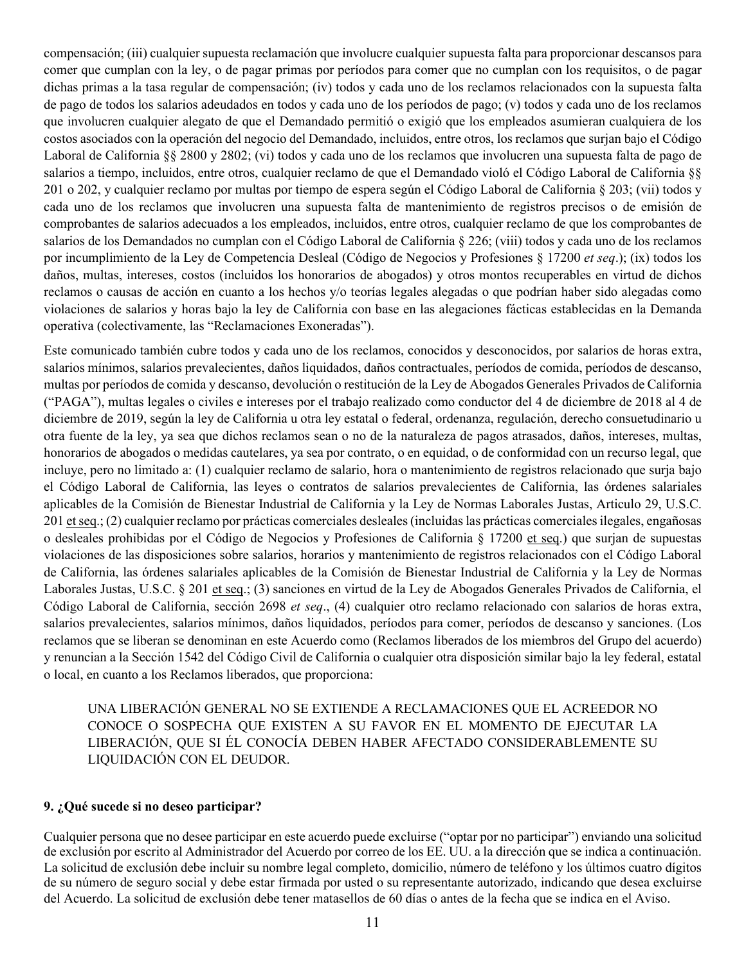compensación; (iii) cualquier supuesta reclamación que involucre cualquier supuesta falta para proporcionar descansos para comer que cumplan con la ley, o de pagar primas por períodos para comer que no cumplan con los requisitos, o de pagar dichas primas a la tasa regular de compensación; (iv) todos y cada uno de los reclamos relacionados con la supuesta falta de pago de todos los salarios adeudados en todos y cada uno de los períodos de pago; (v) todos y cada uno de los reclamos que involucren cualquier alegato de que el Demandado permitió o exigió que los empleados asumieran cualquiera de los costos asociados con la operación del negocio del Demandado, incluidos, entre otros, los reclamos que surjan bajo el Código Laboral de California §§ 2800 y 2802; (vi) todos y cada uno de los reclamos que involucren una supuesta falta de pago de salarios a tiempo, incluidos, entre otros, cualquier reclamo de que el Demandado violó el Código Laboral de California §§ 201 o 202, y cualquier reclamo por multas por tiempo de espera según el Código Laboral de California § 203; (vii) todos y cada uno de los reclamos que involucren una supuesta falta de mantenimiento de registros precisos o de emisión de comprobantes de salarios adecuados a los empleados, incluidos, entre otros, cualquier reclamo de que los comprobantes de salarios de los Demandados no cumplan con el Código Laboral de California § 226; (viii) todos y cada uno de los reclamos por incumplimiento de la Ley de Competencia Desleal (Código de Negocios y Profesiones § 17200 *et seq*.); (ix) todos los daños, multas, intereses, costos (incluidos los honorarios de abogados) y otros montos recuperables en virtud de dichos reclamos o causas de acción en cuanto a los hechos y/o teorías legales alegadas o que podrían haber sido alegadas como violaciones de salarios y horas bajo la ley de California con base en las alegaciones fácticas establecidas en la Demanda operativa (colectivamente, las "Reclamaciones Exoneradas").

Este comunicado también cubre todos y cada uno de los reclamos, conocidos y desconocidos, por salarios de horas extra, salarios mínimos, salarios prevalecientes, daños liquidados, daños contractuales, períodos de comida, períodos de descanso, multas por períodos de comida y descanso, devolución o restitución de la Ley de Abogados Generales Privados de California ("PAGA"), multas legales o civiles e intereses por el trabajo realizado como conductor del 4 de diciembre de 2018 al 4 de diciembre de 2019, según la ley de California u otra ley estatal o federal, ordenanza, regulación, derecho consuetudinario u otra fuente de la ley, ya sea que dichos reclamos sean o no de la naturaleza de pagos atrasados, daños, intereses, multas, honorarios de abogados o medidas cautelares, ya sea por contrato, o en equidad, o de conformidad con un recurso legal, que incluye, pero no limitado a: (1) cualquier reclamo de salario, hora o mantenimiento de registros relacionado que surja bajo el Código Laboral de California, las leyes o contratos de salarios prevalecientes de California, las órdenes salariales aplicables de la Comisión de Bienestar Industrial de California y la Ley de Normas Laborales Justas, Articulo 29, U.S.C. 201 et seq.; (2) cualquier reclamo por prácticas comerciales desleales (incluidas las prácticas comerciales ilegales, engañosas o desleales prohibidas por el Código de Negocios y Profesiones de California § 17200 et seq.) que surjan de supuestas violaciones de las disposiciones sobre salarios, horarios y mantenimiento de registros relacionados con el Código Laboral de California, las órdenes salariales aplicables de la Comisión de Bienestar Industrial de California y la Ley de Normas Laborales Justas, U.S.C. § 201 et seq.; (3) sanciones en virtud de la Ley de Abogados Generales Privados de California, el Código Laboral de California, sección 2698 *et seq*., (4) cualquier otro reclamo relacionado con salarios de horas extra, salarios prevalecientes, salarios mínimos, daños liquidados, períodos para comer, períodos de descanso y sanciones. (Los reclamos que se liberan se denominan en este Acuerdo como (Reclamos liberados de los miembros del Grupo del acuerdo) y renuncian a la Sección 1542 del Código Civil de California o cualquier otra disposición similar bajo la ley federal, estatal o local, en cuanto a los Reclamos liberados, que proporciona:

UNA LIBERACIÓN GENERAL NO SE EXTIENDE A RECLAMACIONES QUE EL ACREEDOR NO CONOCE O SOSPECHA QUE EXISTEN A SU FAVOR EN EL MOMENTO DE EJECUTAR LA LIBERACIÓN, QUE SI ÉL CONOCÍA DEBEN HABER AFECTADO CONSIDERABLEMENTE SU LIQUIDACIÓN CON EL DEUDOR.

#### **9. ¿Qué sucede si no deseo participar?**

Cualquier persona que no desee participar en este acuerdo puede excluirse ("optar por no participar") enviando una solicitud de exclusión por escrito al Administrador del Acuerdo por correo de los EE. UU. a la dirección que se indica a continuación. La solicitud de exclusión debe incluir su nombre legal completo, domicilio, número de teléfono y los últimos cuatro dígitos de su número de seguro social y debe estar firmada por usted o su representante autorizado, indicando que desea excluirse del Acuerdo. La solicitud de exclusión debe tener matasellos de 60 días o antes de la fecha que se indica en el Aviso.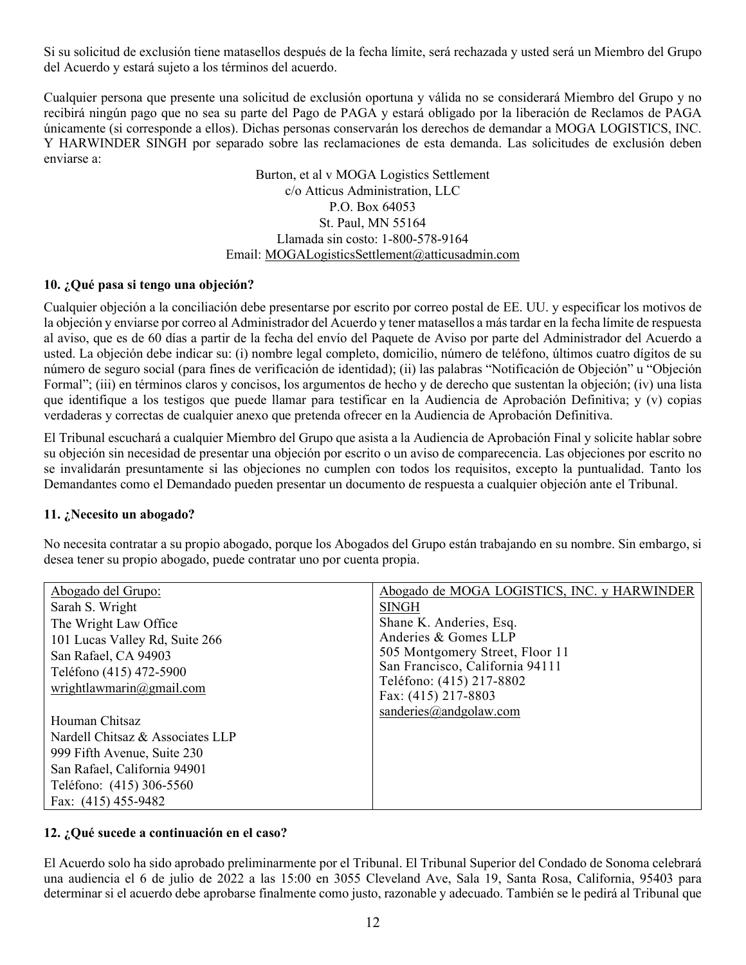Si su solicitud de exclusión tiene matasellos después de la fecha límite, será rechazada y usted será un Miembro del Grupo del Acuerdo y estará sujeto a los términos del acuerdo.

Cualquier persona que presente una solicitud de exclusión oportuna y válida no se considerará Miembro del Grupo y no recibirá ningún pago que no sea su parte del Pago de PAGA y estará obligado por la liberación de Reclamos de PAGA únicamente (si corresponde a ellos). Dichas personas conservarán los derechos de demandar a MOGA LOGISTICS, INC. Y HARWINDER SINGH por separado sobre las reclamaciones de esta demanda. Las solicitudes de exclusión deben enviarse a:

> Burton, et al v MOGA Logistics Settlement c/o Atticus Administration, LLC P.O. Box 64053 St. Paul, MN 55164 Llamada sin costo: 1-800-578-9164 Email: MOGALogisticsSettlement@atticusadmin.com

### **10. ¿Qué pasa si tengo una objeción?**

Cualquier objeción a la conciliación debe presentarse por escrito por correo postal de EE. UU. y especificar los motivos de la objeción y enviarse por correo al Administrador del Acuerdo y tener matasellos a más tardar en la fecha límite de respuesta al aviso, que es de 60 días a partir de la fecha del envío del Paquete de Aviso por parte del Administrador del Acuerdo a usted. La objeción debe indicar su: (i) nombre legal completo, domicilio, número de teléfono, últimos cuatro dígitos de su número de seguro social (para fines de verificación de identidad); (ii) las palabras "Notificación de Objeción" u "Objeción Formal"; (iii) en términos claros y concisos, los argumentos de hecho y de derecho que sustentan la objeción; (iv) una lista que identifique a los testigos que puede llamar para testificar en la Audiencia de Aprobación Definitiva; y (v) copias verdaderas y correctas de cualquier anexo que pretenda ofrecer en la Audiencia de Aprobación Definitiva.

El Tribunal escuchará a cualquier Miembro del Grupo que asista a la Audiencia de Aprobación Final y solicite hablar sobre su objeción sin necesidad de presentar una objeción por escrito o un aviso de comparecencia. Las objeciones por escrito no se invalidarán presuntamente si las objeciones no cumplen con todos los requisitos, excepto la puntualidad. Tanto los Demandantes como el Demandado pueden presentar un documento de respuesta a cualquier objeción ante el Tribunal.

#### **11. ¿Necesito un abogado?**

No necesita contratar a su propio abogado, porque los Abogados del Grupo están trabajando en su nombre. Sin embargo, si desea tener su propio abogado, puede contratar uno por cuenta propia.

| Abogado del Grupo:               | Abogado de MOGA LOGISTICS, INC. y HARWINDER     |
|----------------------------------|-------------------------------------------------|
| Sarah S. Wright                  | <b>SINGH</b>                                    |
| The Wright Law Office            | Shane K. Anderies, Esq.                         |
| 101 Lucas Valley Rd, Suite 266   | Anderies & Gomes LLP                            |
| San Rafael, CA 94903             | 505 Montgomery Street, Floor 11                 |
| Teléfono (415) 472-5900          | San Francisco, California 94111                 |
| wrightlawmarin@gmail.com         | Teléfono: (415) 217-8802<br>Fax: (415) 217-8803 |
|                                  | sanderies $(a)$ and golaw.com                   |
| Houman Chitsaz                   |                                                 |
| Nardell Chitsaz & Associates LLP |                                                 |
| 999 Fifth Avenue, Suite 230      |                                                 |
| San Rafael, California 94901     |                                                 |
| Teléfono: (415) 306-5560         |                                                 |
| Fax: (415) 455-9482              |                                                 |

#### **12. ¿Qué sucede a continuación en el caso?**

El Acuerdo solo ha sido aprobado preliminarmente por el Tribunal. El Tribunal Superior del Condado de Sonoma celebrará una audiencia el 6 de julio de 2022 a las 15:00 en 3055 Cleveland Ave, Sala 19, Santa Rosa, California, 95403 para determinar si el acuerdo debe aprobarse finalmente como justo, razonable y adecuado. También se le pedirá al Tribunal que